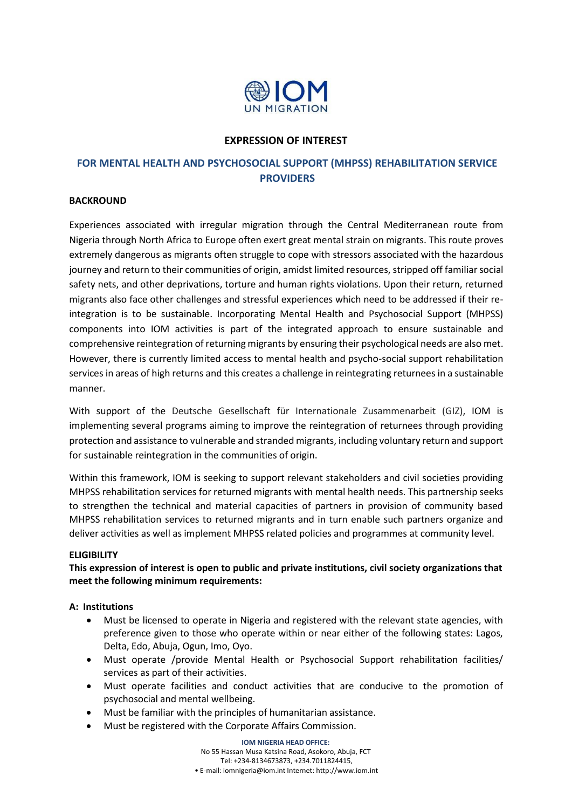

### **EXPRESSION OF INTEREST**

# **FOR MENTAL HEALTH AND PSYCHOSOCIAL SUPPORT (MHPSS) REHABILITATION SERVICE PROVIDERS**

### **BACKROUND**

Experiences associated with irregular migration through the Central Mediterranean route from Nigeria through North Africa to Europe often exert great mental strain on migrants. This route proves extremely dangerous as migrants often struggle to cope with stressors associated with the hazardous journey and return to their communities of origin, amidst limited resources, stripped off familiar social safety nets, and other deprivations, torture and human rights violations. Upon their return, returned migrants also face other challenges and stressful experiences which need to be addressed if their reintegration is to be sustainable. Incorporating Mental Health and Psychosocial Support (MHPSS) components into IOM activities is part of the integrated approach to ensure sustainable and comprehensive reintegration of returning migrants by ensuring their psychological needs are also met. However, there is currently limited access to mental health and psycho-social support rehabilitation services in areas of high returns and this creates a challenge in reintegrating returnees in a sustainable manner.

With support of the Deutsche Gesellschaft für Internationale Zusammenarbeit (GIZ), IOM is implementing several programs aiming to improve the reintegration of returnees through providing protection and assistance to vulnerable and stranded migrants, including voluntary return and support for sustainable reintegration in the communities of origin.

Within this framework, IOM is seeking to support relevant stakeholders and civil societies providing MHPSS rehabilitation services for returned migrants with mental health needs. This partnership seeks to strengthen the technical and material capacities of partners in provision of community based MHPSS rehabilitation services to returned migrants and in turn enable such partners organize and deliver activities as well as implement MHPSS related policies and programmes at community level.

#### **ELIGIBILITY**

**This expression of interest is open to public and private institutions, civil society organizations that meet the following minimum requirements:**

### **A: Institutions**

- Must be licensed to operate in Nigeria and registered with the relevant state agencies, with preference given to those who operate within or near either of the following states: Lagos, Delta, Edo, Abuja, Ogun, Imo, Oyo.
- Must operate /provide Mental Health or Psychosocial Support rehabilitation facilities/ services as part of their activities.
- Must operate facilities and conduct activities that are conducive to the promotion of psychosocial and mental wellbeing.
- Must be familiar with the principles of humanitarian assistance.
- Must be registered with the Corporate Affairs Commission.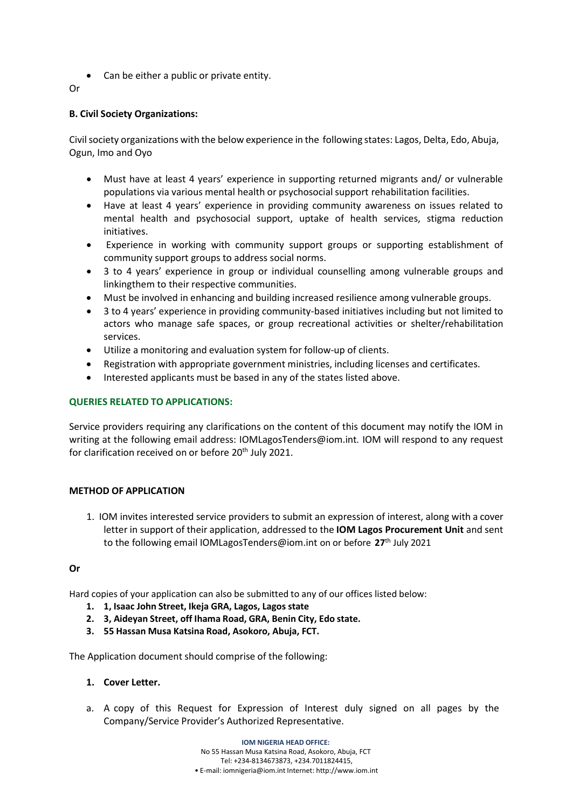- Can be either a public or private entity.
- Or

### **B. Civil Society Organizations:**

Civil society organizations with the below experience in the following states: Lagos, Delta, Edo, Abuja, Ogun, Imo and Oyo

- Must have at least 4 years' experience in supporting returned migrants and/ or vulnerable populations via various mental health or psychosocialsupport rehabilitation facilities.
- Have at least 4 years' experience in providing community awareness on issues related to mental health and psychosocial support, uptake of health services, stigma reduction initiatives.
- Experience in working with community support groups or supporting establishment of community support groups to address social norms.
- 3 to 4 years' experience in group or individual counselling among vulnerable groups and linkingthem to their respective communities.
- Must be involved in enhancing and building increased resilience among vulnerable groups.
- 3 to 4 years' experience in providing community-based initiatives including but not limited to actors who manage safe spaces, or group recreational activities or shelter/rehabilitation services.
- Utilize a monitoring and evaluation system for follow-up of clients.
- Registration with appropriate government ministries, including licenses and certificates.
- Interested applicants must be based in any of the states listed above.

### **QUERIES RELATED TO APPLICATIONS:**

Service providers requiring any clarifications on the content of this document may notify the IOM in writing at the following email address: [IOMLagosTenders@iom.int](mailto:IOMLagosTenders@iom.int)*.* IOM will respond to any request for clarification received on or before 20<sup>th</sup> July 2021.

### **METHOD OF APPLICATION**

1. IOM invites interested service providers to submit an expression of interest, along with a cover letter in support of their application, addressed to the **IOM Lagos Procurement Unit** and sent to the following email [IOMLagosTenders@iom.int](mailto:IOMLagosTenders@iom.int) on or before **27**th July 2021

#### **Or**

Hard copies of your application can also be submitted to any of our offices listed below:

- **1. 1, Isaac John Street, Ikeja GRA, Lagos, Lagos state**
- **2. 3, Aideyan Street, off Ihama Road, GRA, Benin City, Edo state.**
- **3. 55 Hassan Musa Katsina Road, Asokoro, Abuja, FCT.**

The Application document should comprise of the following:

#### **1. Cover Letter.**

a. A copy of this Request for Expression of Interest duly signed on all pages by the Company/Service Provider's Authorized Representative.

> **IOM NIGERIA HEAD OFFICE:** No 55 Hassan Musa Katsina Road, Asokoro, Abuja, FCT Tel: +234-8134673873, +234.7011824415, • E-mail: [iomnigeria@iom.int](mailto:iomnigeria@iom.int) Internet: [http://www.iom.int](http://www.iom.int/)